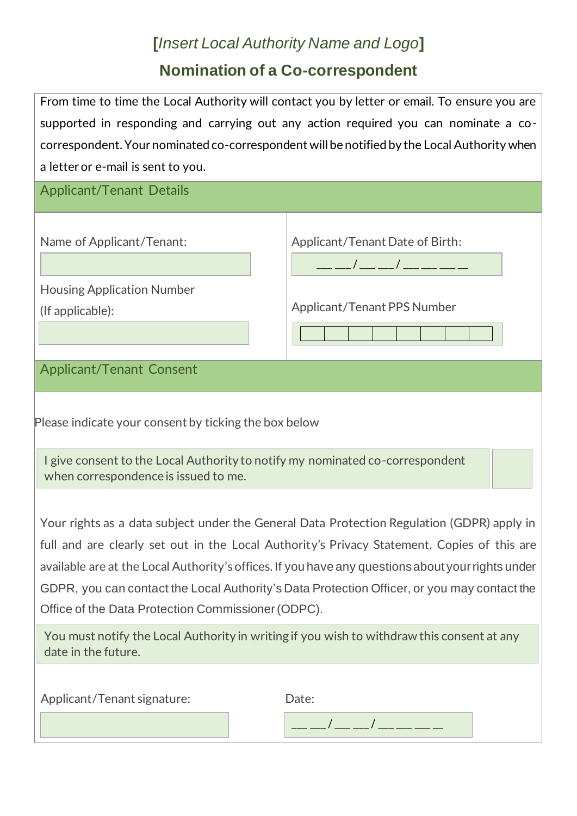## **[***Insert Local Authority Name and Logo***] Nomination of a Co-correspondent**

| From time to time the Local Authority will contact you by letter or email. To ensure you are |
|----------------------------------------------------------------------------------------------|
| supported in responding and carrying out any action required you can nominate a co-          |
| correspondent. Your nominated co-correspondent will be notified by the Local Authority when  |
| a letter or e-mail is sent to you.                                                           |

| <b>Applicant/Tenant Details</b>                                                                                                                                                                                                                                                                                                                                                                                                                                                                                                                                                                                                       |                                 |  |
|---------------------------------------------------------------------------------------------------------------------------------------------------------------------------------------------------------------------------------------------------------------------------------------------------------------------------------------------------------------------------------------------------------------------------------------------------------------------------------------------------------------------------------------------------------------------------------------------------------------------------------------|---------------------------------|--|
| Name of Applicant/Tenant:                                                                                                                                                                                                                                                                                                                                                                                                                                                                                                                                                                                                             | Applicant/Tenant Date of Birth: |  |
| <b>Housing Application Number</b><br>(If applicable):                                                                                                                                                                                                                                                                                                                                                                                                                                                                                                                                                                                 | Applicant/Tenant PPS Number     |  |
| <b>Applicant/Tenant Consent</b>                                                                                                                                                                                                                                                                                                                                                                                                                                                                                                                                                                                                       |                                 |  |
| Please indicate your consent by ticking the box below<br>I give consent to the Local Authority to notify my nominated co-correspondent<br>when correspondence is issued to me.<br>Your rights as a data subject under the General Data Protection Regulation (GDPR) apply in<br>full and are clearly set out in the Local Authority's Privacy Statement. Copies of this are<br>available are at the Local Authority's offices. If you have any questions about your rights under<br>GDPR, you can contact the Local Authority's Data Protection Officer, or you may contact the<br>Office of the Data Protection Commissioner (ODPC). |                                 |  |
| You must notify the Local Authority in writing if you wish to withdraw this consent at any<br>date in the future.                                                                                                                                                                                                                                                                                                                                                                                                                                                                                                                     |                                 |  |
| Applicant/Tenant signature:                                                                                                                                                                                                                                                                                                                                                                                                                                                                                                                                                                                                           | Date:                           |  |